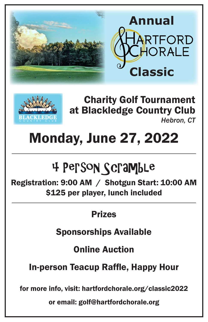



Charity Golf Tournament at Blackledge Country Club *Hebron, CT*

# Monday, June 27, 2022

# 4 Person Scramble

Registration: 9:00 AM / Shotgun Start: 10:00 AM \$125 per player, lunch included

# Prizes

Sponsorships Available

Online Auction

In-person Teacup Raffle, Happy Hour

for more info, visit: hartfordchorale.org/classic2022

or email: golf@hartfordchorale.org